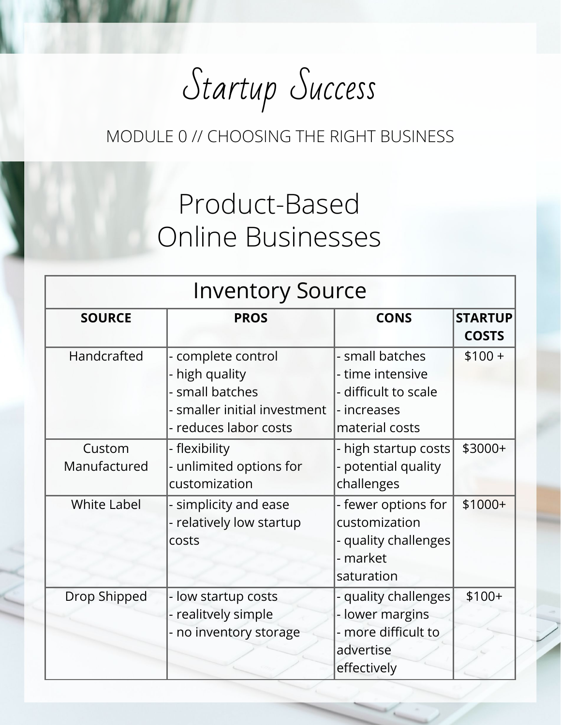## Startup Success

#### MODULE 0 // CHOOSING THE RIGHT BUSINESS

### Product-Based Online Businesses

| <b>Inventory Source</b> |                                                                                                                  |                                                                                              |                                |  |
|-------------------------|------------------------------------------------------------------------------------------------------------------|----------------------------------------------------------------------------------------------|--------------------------------|--|
| <b>SOURCE</b>           | <b>PROS</b>                                                                                                      | <b>CONS</b>                                                                                  | <b>STARTUP</b><br><b>COSTS</b> |  |
| Handcrafted             | - complete control<br>- high quality<br>- small batches<br>- smaller initial investment<br>- reduces labor costs | - small batches<br>- time intensive<br>- difficult to scale<br>- increases<br>material costs | $$100 +$                       |  |
| Custom<br>Manufactured  | - flexibility<br>- unlimited options for<br>customization                                                        | - high startup costs<br>- potential quality<br>challenges                                    | \$3000+                        |  |
| <b>White Label</b>      | - simplicity and ease<br>- relatively low startup<br><b>COSTS</b>                                                | - fewer options for<br>customization<br>- quality challenges<br>- market<br>saturation       | $$1000+$                       |  |
| Drop Shipped            | - low startup costs<br>- realitvely simple<br>- no inventory storage                                             | - quality challenges<br>- lower margins<br>- more difficult to<br>advertise<br>effectively   | $$100+$                        |  |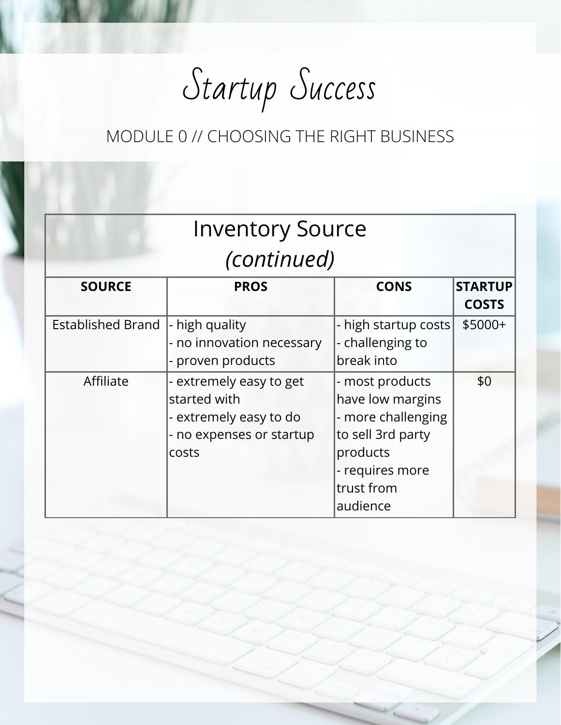Startup Success

#### MODULE 0 // CHOOSING THE RIGHT BUSINESS

|                          | <b>Inventory Source</b>                                                                                |                                                                                                                                         |                                |  |  |  |
|--------------------------|--------------------------------------------------------------------------------------------------------|-----------------------------------------------------------------------------------------------------------------------------------------|--------------------------------|--|--|--|
| (continued)              |                                                                                                        |                                                                                                                                         |                                |  |  |  |
| <b>SOURCE</b>            | <b>PROS</b>                                                                                            | <b>CONS</b>                                                                                                                             | <b>STARTUP</b><br><b>COSTS</b> |  |  |  |
| <b>Established Brand</b> | - high quality<br>- no innovation necessary<br>- proven products                                       | - high startup costs<br>- challenging to<br>break into                                                                                  | $$5000+$                       |  |  |  |
| Affiliate                | - extremely easy to get<br>started with<br>- extremely easy to do<br>- no expenses or startup<br>costs | - most products<br>have low margins<br>- more challenging<br>to sell 3rd party<br>products<br>- requires more<br>trust from<br>audience | \$0                            |  |  |  |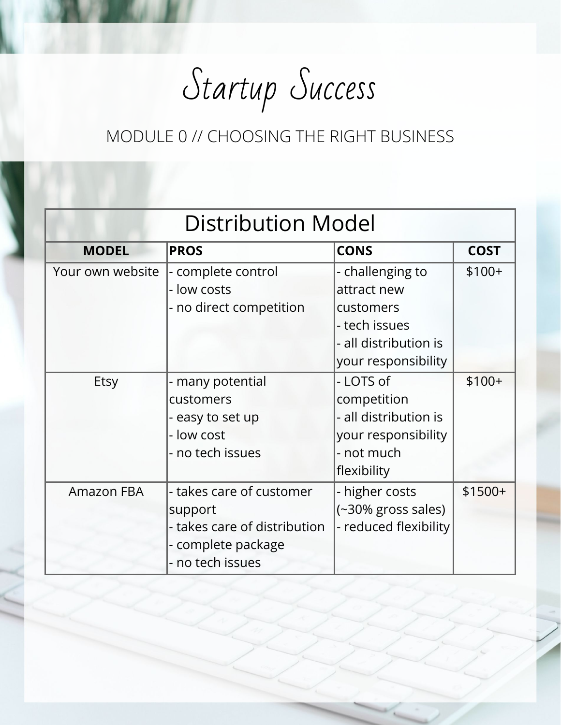Startup Success

#### MODULE 0 // CHOOSING THE RIGHT BUSINESS

| <b>Distribution Model</b> |                                                                                                               |                                                                                                               |             |  |  |
|---------------------------|---------------------------------------------------------------------------------------------------------------|---------------------------------------------------------------------------------------------------------------|-------------|--|--|
| <b>MODEL</b>              | <b>PROS</b>                                                                                                   | <b>CONS</b>                                                                                                   | <b>COST</b> |  |  |
| Your own website          | - complete control<br>- low costs<br>- no direct competition                                                  | - challenging to<br>attract new<br>customers<br>- tech issues<br>- all distribution is<br>your responsibility | $$100+$     |  |  |
| Etsy                      | - many potential<br>customers<br>- easy to set up<br>- low cost<br>- no tech issues                           | - LOTS of<br>competition<br>- all distribution is<br>your responsibility<br>- not much<br>flexibility         | $$100+$     |  |  |
| <b>Amazon FBA</b>         | - takes care of customer<br>support<br>- takes care of distribution<br>- complete package<br>- no tech issues | - higher costs<br>(~30% gross sales)<br>- reduced flexibility                                                 | $$1500+$    |  |  |